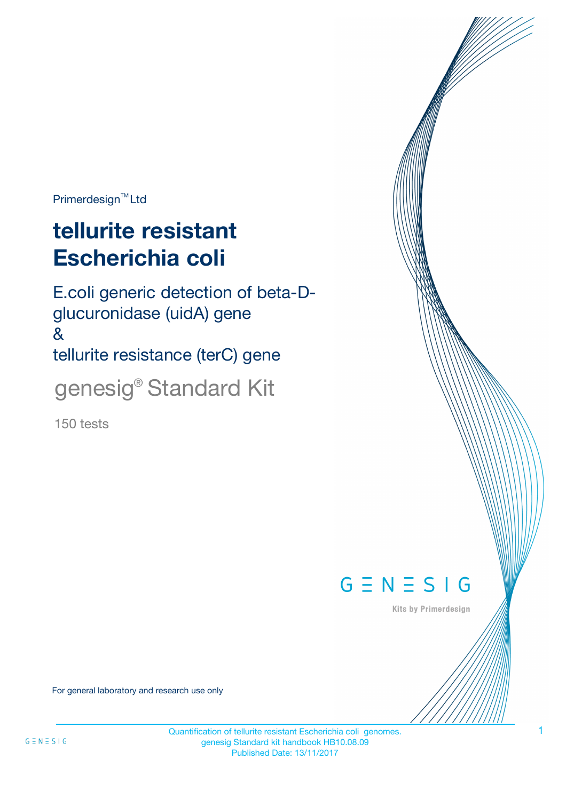Primerdesign<sup>™</sup>Ltd

# **tellurite resistant Escherichia coli**

E.coli generic detection of beta-Dglucuronidase (uidA) gene & tellurite resistance (terC) gene genesig® Standard Kit

150 tests



Kits by Primerdesign

For general laboratory and research use only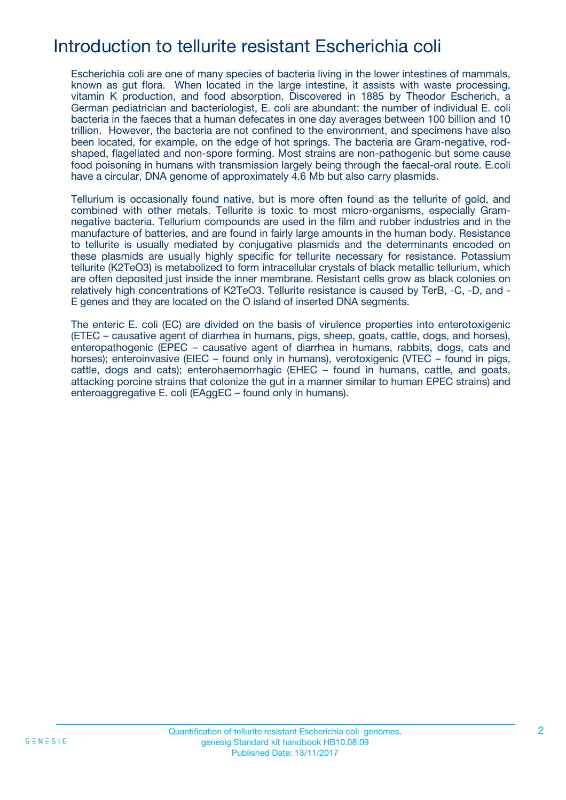### Introduction to tellurite resistant Escherichia coli

Escherichia coli are one of many species of bacteria living in the lower intestines of mammals, known as gut flora. When located in the large intestine, it assists with waste processing, vitamin K production, and food absorption. Discovered in 1885 by Theodor Escherich, a German pediatrician and bacteriologist, E. coli are abundant: the number of individual E. coli bacteria in the faeces that a human defecates in one day averages between 100 billion and 10 trillion. However, the bacteria are not confined to the environment, and specimens have also been located, for example, on the edge of hot springs. The bacteria are Gram-negative, rodshaped, flagellated and non-spore forming. Most strains are non-pathogenic but some cause food poisoning in humans with transmission largely being through the faecal-oral route. E.coli have a circular, DNA genome of approximately 4.6 Mb but also carry plasmids.

Tellurium is occasionally found native, but is more often found as the tellurite of gold, and combined with other metals. Tellurite is toxic to most micro-organisms, especially Gramnegative bacteria. Tellurium compounds are used in the film and rubber industries and in the manufacture of batteries, and are found in fairly large amounts in the human body. Resistance to tellurite is usually mediated by conjugative plasmids and the determinants encoded on these plasmids are usually highly specific for tellurite necessary for resistance. Potassium tellurite (K2TeO3) is metabolized to form intracellular crystals of black metallic tellurium, which are often deposited just inside the inner membrane. Resistant cells grow as black colonies on relatively high concentrations of K2TeO3. Tellurite resistance is caused by TerB, -C, -D, and - E genes and they are located on the O island of inserted DNA segments.

The enteric E. coli (EC) are divided on the basis of virulence properties into enterotoxigenic (ETEC – causative agent of diarrhea in humans, pigs, sheep, goats, cattle, dogs, and horses), enteropathogenic (EPEC – causative agent of diarrhea in humans, rabbits, dogs, cats and horses); enteroinvasive (EIEC – found only in humans), verotoxigenic (VTEC – found in pigs, cattle, dogs and cats); enterohaemorrhagic (EHEC – found in humans, cattle, and goats, attacking porcine strains that colonize the gut in a manner similar to human EPEC strains) and enteroaggregative E. coli (EAggEC – found only in humans).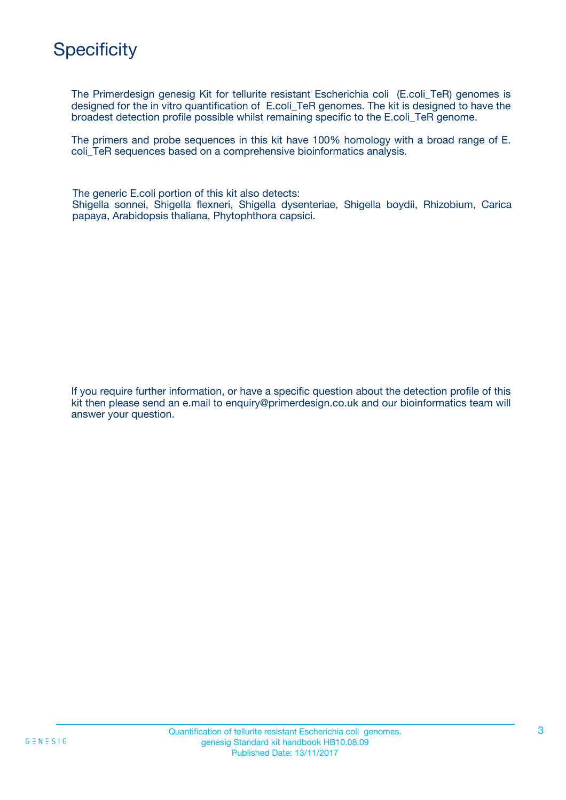# **Specificity**

The Primerdesign genesig Kit for tellurite resistant Escherichia coli (E.coli\_TeR) genomes is designed for the in vitro quantification of E.coli\_TeR genomes. The kit is designed to have the broadest detection profile possible whilst remaining specific to the E.coli\_TeR genome.

The primers and probe sequences in this kit have 100% homology with a broad range of E. coli\_TeR sequences based on a comprehensive bioinformatics analysis.

The generic E.coli portion of this kit also detects: Shigella sonnei, Shigella flexneri, Shigella dysenteriae, Shigella boydii, Rhizobium, Carica papaya, Arabidopsis thaliana, Phytophthora capsici.

If you require further information, or have a specific question about the detection profile of this kit then please send an e.mail to enquiry@primerdesign.co.uk and our bioinformatics team will answer your question.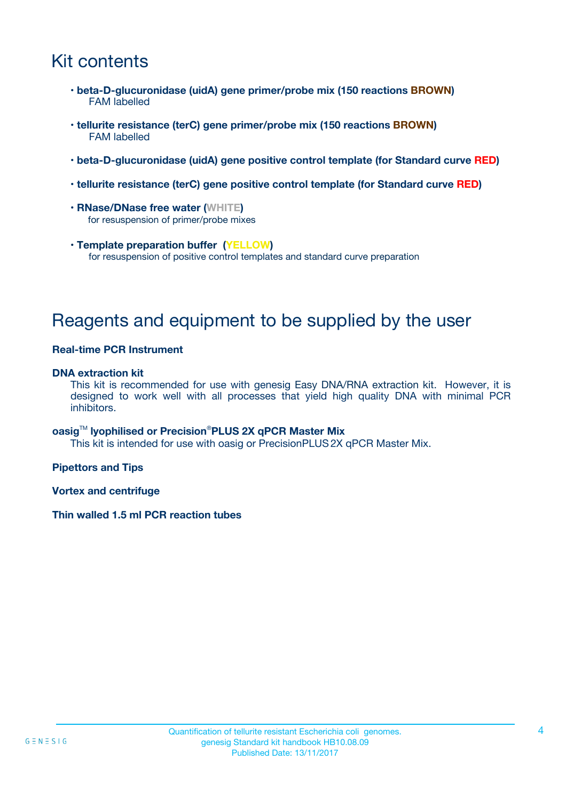# Kit contents

- **beta-D-glucuronidase (uidA) gene primer/probe mix (150 reactions BROWN)** FAM labelled
- **tellurite resistance (terC) gene primer/probe mix (150 reactions BROWN)** FAM labelled
- **beta-D-glucuronidase (uidA) gene positive control template (for Standard curve RED)**
- **tellurite resistance (terC) gene positive control template (for Standard curve RED)**
- **RNase/DNase free water (WHITE)** for resuspension of primer/probe mixes
- **Template preparation buffer (YELLOW)** for resuspension of positive control templates and standard curve preparation

### Reagents and equipment to be supplied by the user

#### **Real-time PCR Instrument**

#### **DNA extraction kit**

This kit is recommended for use with genesig Easy DNA/RNA extraction kit. However, it is designed to work well with all processes that yield high quality DNA with minimal PCR inhibitors.

### **oasig**TM **lyophilised or Precision**®**PLUS 2X qPCR Master Mix**

This kit is intended for use with oasig or PrecisionPLUS2X qPCR Master Mix.

**Pipettors and Tips**

**Vortex and centrifuge**

#### **Thin walled 1.5 ml PCR reaction tubes**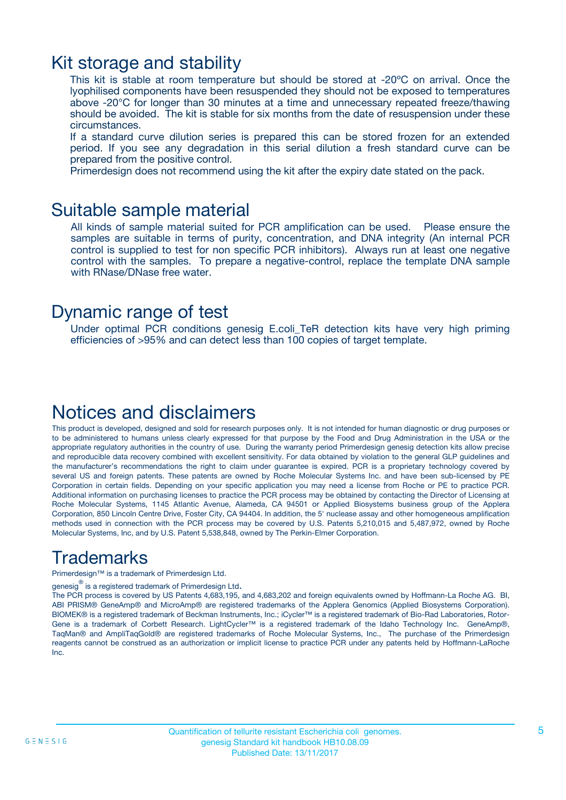### Kit storage and stability

This kit is stable at room temperature but should be stored at -20ºC on arrival. Once the lyophilised components have been resuspended they should not be exposed to temperatures above -20°C for longer than 30 minutes at a time and unnecessary repeated freeze/thawing should be avoided. The kit is stable for six months from the date of resuspension under these circumstances.

If a standard curve dilution series is prepared this can be stored frozen for an extended period. If you see any degradation in this serial dilution a fresh standard curve can be prepared from the positive control.

Primerdesign does not recommend using the kit after the expiry date stated on the pack.

### Suitable sample material

All kinds of sample material suited for PCR amplification can be used. Please ensure the samples are suitable in terms of purity, concentration, and DNA integrity (An internal PCR control is supplied to test for non specific PCR inhibitors). Always run at least one negative control with the samples. To prepare a negative-control, replace the template DNA sample with RNase/DNase free water.

### Dynamic range of test

Under optimal PCR conditions genesig E.coli\_TeR detection kits have very high priming efficiencies of >95% and can detect less than 100 copies of target template.

## Notices and disclaimers

This product is developed, designed and sold for research purposes only. It is not intended for human diagnostic or drug purposes or to be administered to humans unless clearly expressed for that purpose by the Food and Drug Administration in the USA or the appropriate regulatory authorities in the country of use. During the warranty period Primerdesign genesig detection kits allow precise and reproducible data recovery combined with excellent sensitivity. For data obtained by violation to the general GLP guidelines and the manufacturer's recommendations the right to claim under guarantee is expired. PCR is a proprietary technology covered by several US and foreign patents. These patents are owned by Roche Molecular Systems Inc. and have been sub-licensed by PE Corporation in certain fields. Depending on your specific application you may need a license from Roche or PE to practice PCR. Additional information on purchasing licenses to practice the PCR process may be obtained by contacting the Director of Licensing at Roche Molecular Systems, 1145 Atlantic Avenue, Alameda, CA 94501 or Applied Biosystems business group of the Applera Corporation, 850 Lincoln Centre Drive, Foster City, CA 94404. In addition, the 5' nuclease assay and other homogeneous amplification methods used in connection with the PCR process may be covered by U.S. Patents 5,210,015 and 5,487,972, owned by Roche Molecular Systems, Inc, and by U.S. Patent 5,538,848, owned by The Perkin-Elmer Corporation.

## **Trademarks**

Primerdesign™ is a trademark of Primerdesign Ltd.

genesig $^\circledR$  is a registered trademark of Primerdesign Ltd.

The PCR process is covered by US Patents 4,683,195, and 4,683,202 and foreign equivalents owned by Hoffmann-La Roche AG. BI, ABI PRISM® GeneAmp® and MicroAmp® are registered trademarks of the Applera Genomics (Applied Biosystems Corporation). BIOMEK® is a registered trademark of Beckman Instruments, Inc.; iCycler™ is a registered trademark of Bio-Rad Laboratories, Rotor-Gene is a trademark of Corbett Research. LightCycler™ is a registered trademark of the Idaho Technology Inc. GeneAmp®, TaqMan® and AmpliTaqGold® are registered trademarks of Roche Molecular Systems, Inc., The purchase of the Primerdesign reagents cannot be construed as an authorization or implicit license to practice PCR under any patents held by Hoffmann-LaRoche Inc.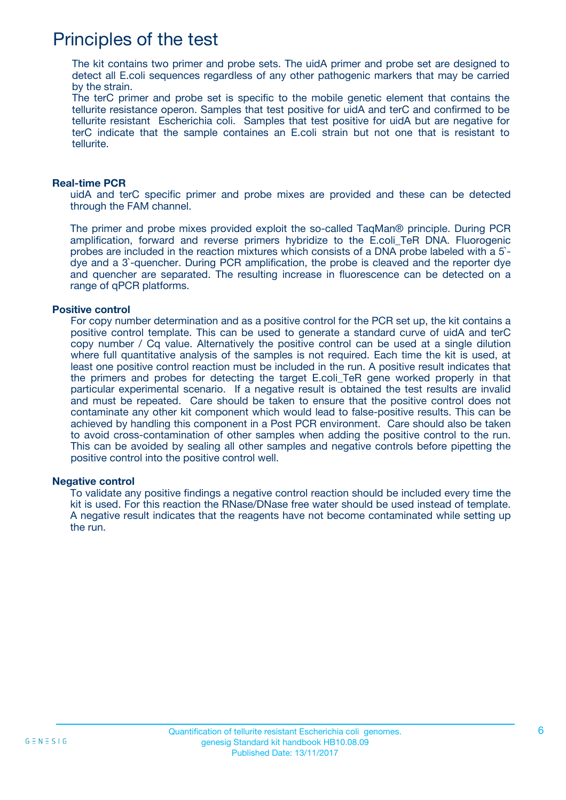## Principles of the test

The kit contains two primer and probe sets. The uidA primer and probe set are designed to detect all E.coli sequences regardless of any other pathogenic markers that may be carried by the strain.

The terC primer and probe set is specific to the mobile genetic element that contains the tellurite resistance operon. Samples that test positive for uidA and terC and confirmed to be tellurite resistant Escherichia coli. Samples that test positive for uidA but are negative for terC indicate that the sample containes an E.coli strain but not one that is resistant to tellurite.

#### **Real-time PCR**

uidA and terC specific primer and probe mixes are provided and these can be detected through the FAM channel.

The primer and probe mixes provided exploit the so-called TaqMan® principle. During PCR amplification, forward and reverse primers hybridize to the E.coli\_TeR DNA. Fluorogenic probes are included in the reaction mixtures which consists of a DNA probe labeled with a 5` dye and a 3`-quencher. During PCR amplification, the probe is cleaved and the reporter dye and quencher are separated. The resulting increase in fluorescence can be detected on a range of qPCR platforms.

#### **Positive control**

For copy number determination and as a positive control for the PCR set up, the kit contains a positive control template. This can be used to generate a standard curve of uidA and terC copy number / Cq value. Alternatively the positive control can be used at a single dilution where full quantitative analysis of the samples is not required. Each time the kit is used, at least one positive control reaction must be included in the run. A positive result indicates that the primers and probes for detecting the target E.coli\_TeR gene worked properly in that particular experimental scenario. If a negative result is obtained the test results are invalid and must be repeated. Care should be taken to ensure that the positive control does not contaminate any other kit component which would lead to false-positive results. This can be achieved by handling this component in a Post PCR environment. Care should also be taken to avoid cross-contamination of other samples when adding the positive control to the run. This can be avoided by sealing all other samples and negative controls before pipetting the positive control into the positive control well.

#### **Negative control**

To validate any positive findings a negative control reaction should be included every time the kit is used. For this reaction the RNase/DNase free water should be used instead of template. A negative result indicates that the reagents have not become contaminated while setting up the run.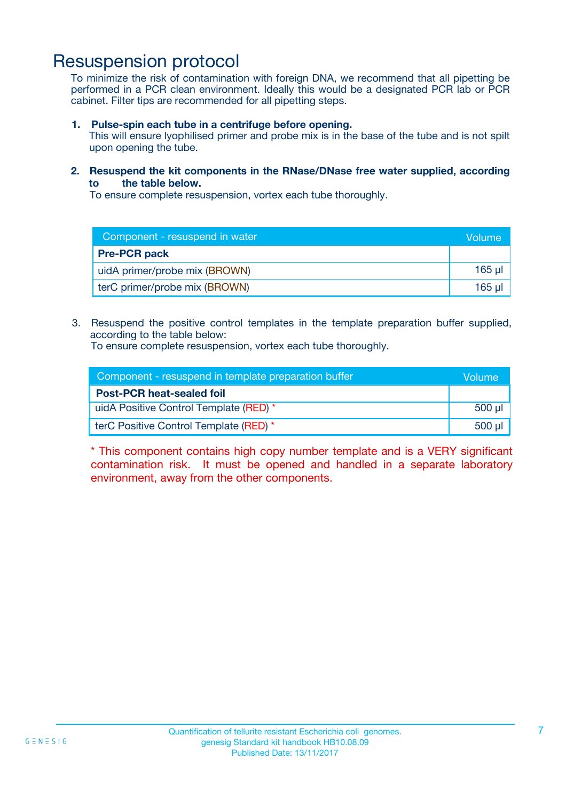### Resuspension protocol

To minimize the risk of contamination with foreign DNA, we recommend that all pipetting be performed in a PCR clean environment. Ideally this would be a designated PCR lab or PCR cabinet. Filter tips are recommended for all pipetting steps.

**1. Pulse-spin each tube in a centrifuge before opening.**

This will ensure lyophilised primer and probe mix is in the base of the tube and is not spilt upon opening the tube.

**2. Resuspend the kit components in the RNase/DNase free water supplied, according to the table below.**

To ensure complete resuspension, vortex each tube thoroughly.

| Component - resuspend in water | Volume   |
|--------------------------------|----------|
| <b>Pre-PCR pack</b>            |          |
| uidA primer/probe mix (BROWN)  | $165$ µ  |
| terC primer/probe mix (BROWN)  | $165$ µl |

3. Resuspend the positive control templates in the template preparation buffer supplied, according to the table below:

To ensure complete resuspension, vortex each tube thoroughly.

| Component - resuspend in template preparation buffer | Volume      |
|------------------------------------------------------|-------------|
| <b>Post-PCR heat-sealed foil</b>                     |             |
| uidA Positive Control Template (RED) *               | $500$ $\mu$ |
| terC Positive Control Template (RED) *               | $500$ $\mu$ |

\* This component contains high copy number template and is a VERY significant contamination risk. It must be opened and handled in a separate laboratory environment, away from the other components.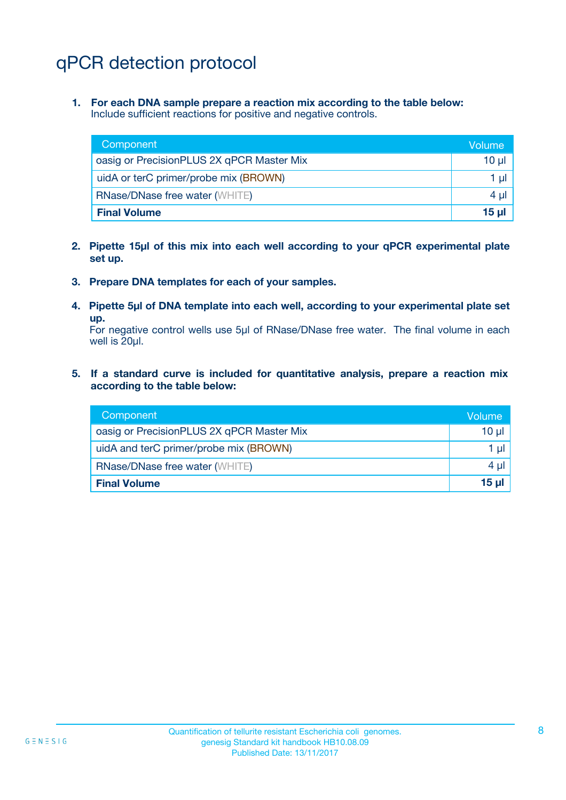# qPCR detection protocol

**1. For each DNA sample prepare a reaction mix according to the table below:** Include sufficient reactions for positive and negative controls.

| Component                                 | Volume |
|-------------------------------------------|--------|
| oasig or PrecisionPLUS 2X qPCR Master Mix | 10 µl  |
| uidA or terC primer/probe mix (BROWN)     | 1 µI - |
| <b>RNase/DNase free water (WHITE)</b>     | 4 µl   |
| <b>Final Volume</b>                       | 15 ul  |

- **2. Pipette 15µl of this mix into each well according to your qPCR experimental plate set up.**
- **3. Prepare DNA templates for each of your samples.**
- **4. Pipette 5µl of DNA template into each well, according to your experimental plate set up.**

For negative control wells use 5µl of RNase/DNase free water. The final volume in each well is 20µl.

**5. If a standard curve is included for quantitative analysis, prepare a reaction mix according to the table below:**

| Component                                 | Volume         |
|-------------------------------------------|----------------|
| oasig or PrecisionPLUS 2X qPCR Master Mix | $10 \mu$       |
| uidA and terC primer/probe mix (BROWN)    | $1 \mu$        |
| <b>RNase/DNase free water (WHITE)</b>     | 4 µl           |
| <b>Final Volume</b>                       | $15$ µ $\vert$ |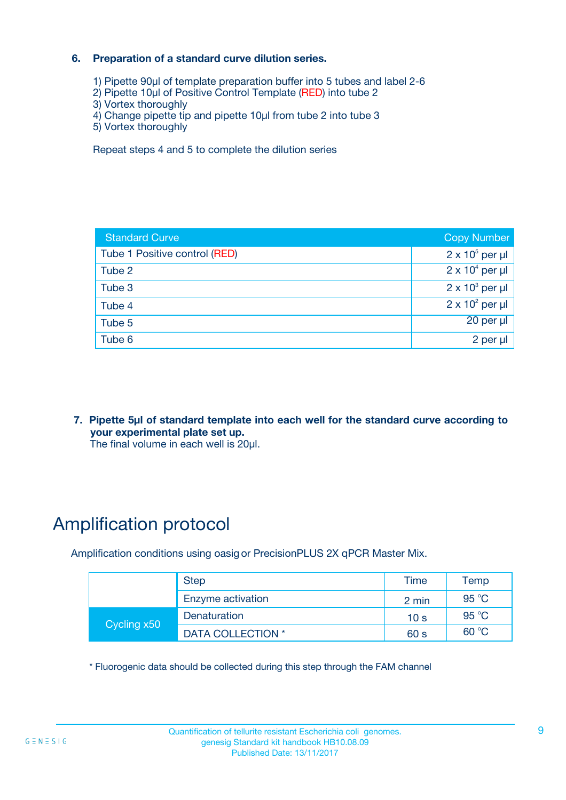#### **6. Preparation of a standard curve dilution series.**

- 1) Pipette 90µl of template preparation buffer into 5 tubes and label 2-6
- 2) Pipette 10µl of Positive Control Template (RED) into tube 2
- 3) Vortex thoroughly
- 4) Change pipette tip and pipette 10µl from tube 2 into tube 3
- 5) Vortex thoroughly

Repeat steps 4 and 5 to complete the dilution series

| <b>Standard Curve</b>         | <b>Copy Number</b>     |
|-------------------------------|------------------------|
| Tube 1 Positive control (RED) | $2 \times 10^5$ per µl |
| Tube 2                        | $2 \times 10^4$ per µl |
| Tube 3                        | $2 \times 10^3$ per µl |
| Tube 4                        | $2 \times 10^2$ per µl |
| Tube 5                        | $20$ per $\mu$         |
| Tube 6                        | 2 per µl               |

**7. Pipette 5µl of standard template into each well for the standard curve according to your experimental plate set up.**

The final volume in each well is 20µl.

# Amplification protocol

Amplification conditions using oasig or PrecisionPLUS 2X qPCR Master Mix.

| <b>Step</b> |                   | Time            | Temp           |
|-------------|-------------------|-----------------|----------------|
|             | Enzyme activation | 2 min           | 95 °C          |
| Cycling x50 | Denaturation      | 10 <sub>s</sub> | 95 °C          |
|             | DATA COLLECTION * | 60 s            | $60^{\circ}$ C |

\* Fluorogenic data should be collected during this step through the FAM channel